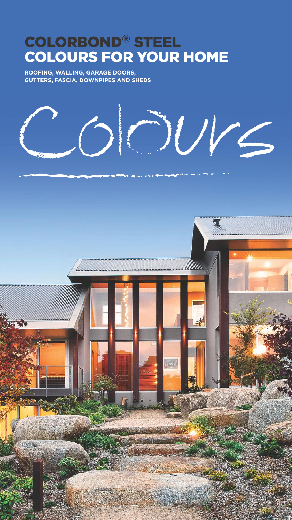### COLORBOND® STEEL COLOURS FOR YOUR HOME

**ROOFING, WALLING, GARAGE DOORS, GUTTERS, FASCIA, DOWNPIPES AND SHEDS**



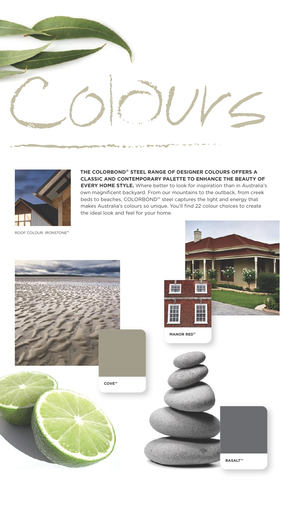



**THE COLORBOND® STEEL RANGE OF DESIGNER COLOURS OFFERS A CLASSIC AND CONTEMPORARY PALETTE TO ENHANCE THE BEAUTY OF EVERY HOME STYLE.** Where better to look for inspiration than in Australia's own magnificent backyard. From our mountains to the outback, from creek beds to beaches, COLORBOND® steel captures the light and energy that makes Australia's colours so unique. You'll find 22 colour choices to create the ideal look and feel for your home.

ROOF COLOUR: IRONSTONE®

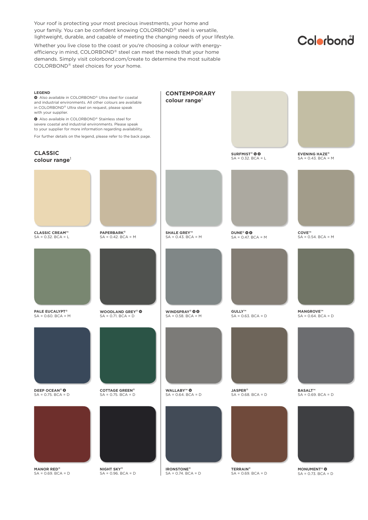Your roof is protecting your most precious investments, your home and your family. You can be confident knowing COLORBOND® steel is versatile, lightweight, durable, and capable of meeting the changing needs of your lifestyle.

Whether you live close to the coast or you're choosing a colour with energyefficiency in mind, COLORBOND® steel can meet the needs that your home demands. Simply visit colorbond.com/create to determine the most suitable COLORBOND® steel choices for your home.

### Colorbond

| <b>LEGEND</b><br>Also available in COLORBOND® Ultra steel for coastal<br>and industrial environments. All other colours are available<br>in COLORBOND® Ultra steel on request, please speak<br>with your supplier.<br>Also available in COLORBOND® Stainless steel for<br>severe coastal and industrial environments. Please speak<br>to your supplier for more information regarding availability.<br>For further details on the legend, please refer to the back page. |                                                  | <b>CONTEMPORARY</b><br>colour range <sup>1</sup> |                                                           |                                                 |
|--------------------------------------------------------------------------------------------------------------------------------------------------------------------------------------------------------------------------------------------------------------------------------------------------------------------------------------------------------------------------------------------------------------------------------------------------------------------------|--------------------------------------------------|--------------------------------------------------|-----------------------------------------------------------|-------------------------------------------------|
| <b>CLASSIC</b><br>colour range <sup>1</sup>                                                                                                                                                                                                                                                                                                                                                                                                                              |                                                  |                                                  | <b>SURFMIST<sup>®</sup> OO</b><br>$SA = 0.32$ . $BCA = L$ | <b>EVENING HAZE®</b><br>$SA = 0.43$ . $BCA = M$ |
|                                                                                                                                                                                                                                                                                                                                                                                                                                                                          |                                                  |                                                  |                                                           |                                                 |
| <b>CLASSIC CREAM™</b><br>$SA = 0.32$ . BCA = L                                                                                                                                                                                                                                                                                                                                                                                                                           | <b>PAPERBARK®</b><br>$SA = 0.42$ . $BCA = M$     | <b>SHALE GREY™</b><br>$SA = 0.43$ . $BCA = M$    | <b>DUNE®</b> 00<br>$SA = 0.47$ . BCA = M                  | COVE™<br>$SA = 0.54$ . $BCA = M$                |
|                                                                                                                                                                                                                                                                                                                                                                                                                                                                          |                                                  |                                                  |                                                           |                                                 |
| PALE EUCALYPT <sup>®</sup><br>$SA = 0.60$ . $BCA = M$                                                                                                                                                                                                                                                                                                                                                                                                                    | WOODLAND GREY® 0<br>$SA = 0.71$ . $BCA = D$      | WINDSPRAY® 00<br>$SA = 0.58$ . $BCA = M$         | GULLY™<br>$SA = 0.63$ . $BCA = D$                         | <b>MANGROVE™</b><br>$SA = 0.64$ . BCA = D       |
|                                                                                                                                                                                                                                                                                                                                                                                                                                                                          |                                                  |                                                  |                                                           |                                                 |
| DEEP OCEAN <sup>®</sup> <sup>®</sup><br>$SA = 0.75$ . $BCA = D$                                                                                                                                                                                                                                                                                                                                                                                                          | <b>COTTAGE GREEN®</b><br>$SA = 0.75$ . $BCA = D$ | <b>WALLABY™ ©</b><br>$SA = 0.64$ , $BCA = D$     | <b>JASPER®</b><br>$SA = 0.68$ . $BCA = D$                 | <b>BASALT™</b><br>$SA = 0.69$ . $BCA = D$       |
| <b>MANOR RED®</b>                                                                                                                                                                                                                                                                                                                                                                                                                                                        | <b>NIGHT SKY®</b>                                | <b>IRONSTONE®</b>                                | <b>TERRAIN®</b>                                           | <b>MONUMENT®</b>                                |
| $SA = 0.69$ . $BCA = D$                                                                                                                                                                                                                                                                                                                                                                                                                                                  | $SA = 0.96$ . $BCA = D$                          | $SA = 0.74$ . $BCA = D$                          | $SA = 0.69$ . $BCA = D$                                   | $SA = 0.73$ . $BCA = D$                         |